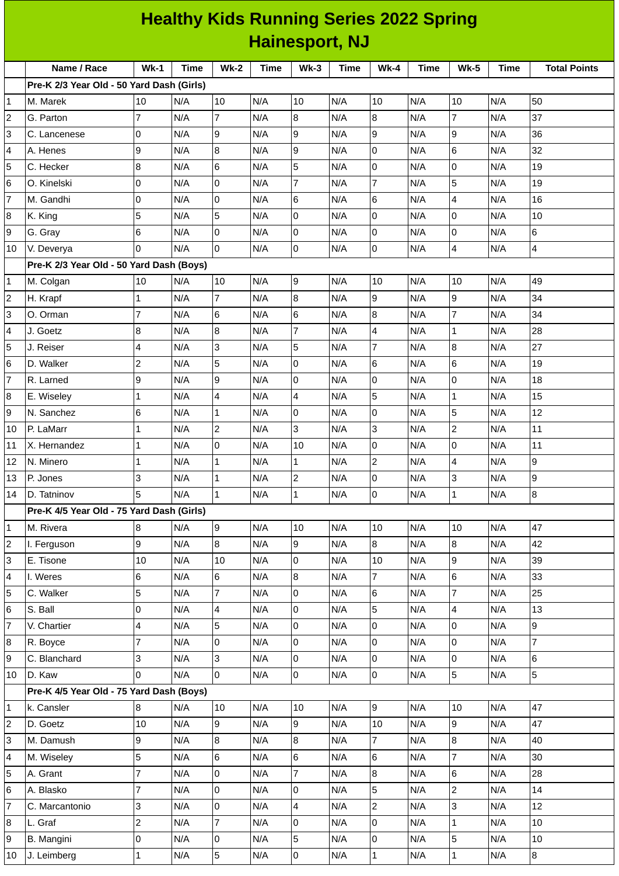|                | <b>Healthy Kids Running Series 2022 Spring</b> |                |      |                     |             |                 |             |                  |      |                          |             |                     |
|----------------|------------------------------------------------|----------------|------|---------------------|-------------|-----------------|-------------|------------------|------|--------------------------|-------------|---------------------|
|                | <b>Hainesport, NJ</b>                          |                |      |                     |             |                 |             |                  |      |                          |             |                     |
|                | Name / Race                                    | <b>Wk-1</b>    | Time | $Wk-2$              | <b>Time</b> | $Wk-3$          | <b>Time</b> | <b>Wk-4</b>      | Time | <b>Wk-5</b>              | <b>Time</b> | <b>Total Points</b> |
|                | Pre-K 2/3 Year Old - 50 Yard Dash (Girls)      |                |      |                     |             |                 |             |                  |      |                          |             |                     |
| 1              | M. Marek                                       | 10             | N/A  | 10                  | N/A         | 10              | N/A         | 10               | N/A  | 10                       | N/A         | 50                  |
| 2              | G. Parton                                      | $\overline{7}$ | N/A  | $\overline{7}$      | N/A         | 8               | N/A         | $\bf{8}$         | N/A  | $\overline{7}$           | N/A         | 37                  |
| 3              | C. Lancenese                                   | 0              | N/A  | 9                   | N/A         | 9               | N/A         | 9                | N/A  | 9                        | N/A         | 36                  |
| 4              | A. Henes                                       | 9              | N/A  | $\bf{8}$            | N/A         | 9               | N/A         | $\mathbf 0$      | N/A  | $6\phantom{.}6$          | N/A         | 32                  |
| 5              | C. Hecker                                      | 8              | N/A  | $\,6$               | N/A         | 5               | N/A         | $\overline{0}$   | N/A  | $\overline{0}$           | N/A         | 19                  |
| 6              | O. Kinelski                                    | 0              | N/A  | $\mathsf 0$         | N/A         | $\overline{7}$  | N/A         | $\overline{7}$   | N/A  | 5                        | N/A         | 19                  |
| 7              | M. Gandhi                                      | 0              | N/A  | 0                   | N/A         | 6               | N/A         | 6                | N/A  | $\overline{4}$           | N/A         | 16                  |
| 8              | K. King                                        | 5              | N/A  | 5                   | N/A         | 0               | N/A         | $\overline{0}$   | N/A  | $\overline{0}$           | N/A         | 10                  |
| 9              | G. Gray                                        | 6              | N/A  | 0                   | N/A         | 0               | N/A         | l0               | N/A  | 0                        | N/A         | 6                   |
| 10             | V. Deverya                                     | 0              | N/A  | 0                   | N/A         | 0               | N/A         | $\mathsf 0$      | N/A  | 4                        | N/A         | 4                   |
|                | Pre-K 2/3 Year Old - 50 Yard Dash (Boys)       |                |      |                     |             |                 |             |                  |      |                          |             |                     |
| 1              | M. Colgan                                      | 10             | N/A  | 10                  | N/A         | 9               | N/A         | 10               | N/A  | 10                       | N/A         | 49                  |
| 2              | H. Krapf                                       | $\mathbf 1$    | N/A  | $\overline{7}$      | N/A         | 8               | N/A         | 9                | N/A  | $\overline{9}$           | N/A         | 34                  |
| 3              | O. Orman                                       | $\overline{7}$ | N/A  | 6                   | N/A         | $6\phantom{.}6$ | N/A         | 8                | N/A  | $\overline{7}$           | N/A         | 34                  |
| 4              | J. Goetz                                       | 8              | N/A  | $\bf 8$             | N/A         | $\overline{7}$  | N/A         | 4                | N/A  | $\mathbf{1}$             | N/A         | 28                  |
| 5              | J. Reiser                                      | 4              | N/A  | 3                   | N/A         | 5               | N/A         | $\overline{7}$   | N/A  | 8                        | N/A         | 27                  |
| 6              | D. Walker                                      | $\overline{c}$ | N/A  | 5                   | N/A         | 0               | N/A         | $6\phantom{.}6$  | N/A  | 6                        | N/A         | 19                  |
| 7              | R. Larned                                      | 9              | N/A  | $\boldsymbol{9}$    | N/A         | 0               | N/A         | 0                | N/A  | 0                        | N/A         | 18                  |
| 8              | E. Wiseley                                     | 1              | N/A  | 4                   | N/A         | $\overline{a}$  | N/A         | 5                | N/A  | $\mathbf{1}$             | N/A         | 15                  |
| 9              | N. Sanchez                                     | 6              | N/A  | $\mathbf 1$         | N/A         | 0               | N/A         | $\mathbf 0$      | N/A  | 5                        | N/A         | 12                  |
| 10             | P. LaMarr                                      | $\mathbf 1$    | N/A  | $\overline{c}$      | N/A         | $\overline{3}$  | N/A         | 3                | N/A  | $\overline{c}$           | N/A         | 11                  |
| 11             | X. Hernandez                                   | 1              | N/A  | 0                   | N/A         | 10              | N/A         | 0                | N/A  | $\mathbf 0$              | N/A         | 11                  |
| 12             | N. Minero                                      | 1              | N/A  | 1                   | N/A         | 1               | N/A         | $\boldsymbol{2}$ | N/A  | 4                        | N/A         | 9                   |
| 13             | P. Jones                                       | 3              | N/A  | $\mathbf 1$         | N/A         | 2               | N/A         | l0               | N/A  | 3                        | N/A         | 9                   |
| 14             | D. Tatninov                                    | 5              | N/A  | $\mathbf{1}$        | N/A         | $\mathbf{1}$    | N/A         | lo.              | N/A  | $\mathbf{1}$             | N/A         | 8                   |
|                | Pre-K 4/5 Year Old - 75 Yard Dash (Girls)      |                |      |                     |             |                 |             |                  |      |                          |             |                     |
| 1              | M. Rivera                                      | 8              | N/A  | 9                   | N/A         | 10              | N/A         | 10               | N/A  | 10                       | N/A         | 47                  |
| $\overline{c}$ | I. Ferguson                                    | 9              | N/A  | 8                   | N/A         | 9               | N/A         | $\boldsymbol{8}$ | N/A  | $\bf{8}$                 | N/A         | 42                  |
| 3              | E. Tisone                                      | 10             | N/A  | 10                  | N/A         | 0               | N/A         | 10               | N/A  | 9                        | N/A         | 39                  |
| 4              | I. Weres                                       | 6              | N/A  | 6                   | N/A         | $\overline{8}$  | N/A         | $\overline{7}$   | N/A  | $6\phantom{1}$           | N/A         | 33                  |
| 5              | C. Walker                                      | 5              | N/A  | $\overline{7}$      | N/A         | $\overline{0}$  | N/A         | 6                | N/A  | $\overline{7}$           | N/A         | 25                  |
| 6              | S. Ball                                        | 0              | N/A  | 4                   | N/A         | 0               | N/A         | 5                | N/A  | $\overline{\mathcal{L}}$ | N/A         | 13                  |
| 7              | V. Chartier                                    | 4              | N/A  | 5                   | N/A         | 0               | N/A         | lo               | N/A  | $\overline{0}$           | N/A         | 9                   |
| 8              | R. Boyce                                       | $\overline{7}$ | N/A  | $\mathsf 0$         | N/A         | $\overline{0}$  | N/A         | $\pmb{0}$        | N/A  | $\overline{0}$           | N/A         | $\overline{7}$      |
| 9              | C. Blanchard                                   | 3              | N/A  | 3                   | N/A         | $\overline{0}$  | N/A         | $\overline{0}$   | N/A  | $\overline{0}$           | N/A         | 6                   |
| 10             | D. Kaw                                         | 0              | N/A  | 0                   | N/A         | 0               | N/A         | 0                | N/A  | 5                        | N/A         | 5                   |
|                | Pre-K 4/5 Year Old - 75 Yard Dash (Boys)       |                |      |                     |             |                 |             |                  |      |                          |             |                     |
| 1              | k. Cansler                                     | 8              | N/A  | 10                  | N/A         | 10              | N/A         | 9                | N/A  | 10                       | N/A         | 47                  |
| 2              | D. Goetz                                       | 10             | N/A  | 9                   | N/A         | 9               | N/A         | 10               | N/A  | 9                        | N/A         | 47                  |
| 3              | M. Damush                                      | 9              | N/A  | $\bf{8}$            | N/A         | $\overline{8}$  | N/A         | $\overline{7}$   | N/A  | $\bf{8}$                 | N/A         | 40                  |
| 4              | M. Wiseley                                     | 5              | N/A  | $6\phantom{.}$      | N/A         | $6\overline{6}$ | N/A         | $6\phantom{.}$   | N/A  | $\overline{7}$           | N/A         | 30                  |
| 5              | A. Grant                                       | $\overline{7}$ | N/A  | $\pmb{0}$           | N/A         | 7               | N/A         | $\, 8$           | N/A  | $\,6$                    | N/A         | 28                  |
| 6              | A. Blasko                                      | $\overline{7}$ | N/A  | $\mathsf 0$         | N/A         | $\overline{0}$  | N/A         | 5                | N/A  | $\overline{2}$           | N/A         | 14                  |
| 7              | C. Marcantonio                                 | 3              | N/A  | 0                   | N/A         | 4               | N/A         | $\overline{c}$   | N/A  | 3                        | N/A         | 12                  |
| 8              | L. Graf                                        | $\overline{c}$ | N/A  | $\overline{7}$      | N/A         | 0               | N/A         | $\pmb{0}$        | N/A  | $\mathbf 1$              | N/A         | 10                  |
| 9              | B. Mangini                                     | 0              | N/A  | $\mathsf{O}\xspace$ | N/A         | 5               | N/A         | $\overline{0}$   | N/A  | 5                        | N/A         | $10\,$              |
| 10             | J. Leimberg                                    | $\mathbf 1$    | N/A  | 5                   | N/A         | $\overline{0}$  | N/A         | $\vert$ 1        | N/A  | $\overline{1}$           | N/A         | $\bf{8}$            |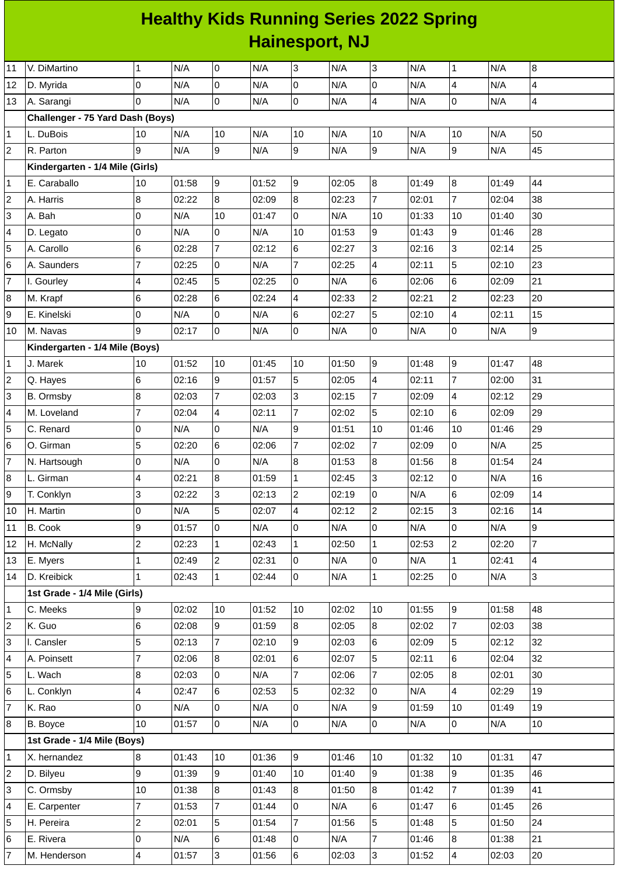## **Healthy Kids Running Series 2022 Spring Hainesport, NJ**

| 11                      | V. DiMartino                     | 1                        | N/A   | $\pmb{0}$      | N/A   | 3              | N/A   | 3                | N/A   | 1               | N/A   | $\bf{8}$                 |
|-------------------------|----------------------------------|--------------------------|-------|----------------|-------|----------------|-------|------------------|-------|-----------------|-------|--------------------------|
| 12                      | D. Myrida                        | $\Omega$                 | N/A   | $\pmb{0}$      | N/A   | 0              | N/A   | $\mathsf{O}$     | N/A   | 4               | N/A   | $\overline{4}$           |
| 13                      | A. Sarangi                       | $\Omega$                 | N/A   | $\overline{0}$ | N/A   | 0              | N/A   | $\overline{4}$   | N/A   | $\overline{0}$  | N/A   | $\overline{\mathcal{A}}$ |
|                         | Challenger - 75 Yard Dash (Boys) |                          |       |                |       |                |       |                  |       |                 |       |                          |
| $\mathbf{1}$            | L. DuBois                        | 10                       | N/A   | $10\,$         | N/A   | 10             | N/A   | 10               | N/A   | 10              | N/A   | 50                       |
| $\overline{c}$          | R. Parton                        | 9                        | N/A   | 9              | N/A   | 9              | N/A   | $\overline{9}$   | N/A   | $\overline{9}$  | N/A   | 45                       |
|                         | Kindergarten - 1/4 Mile (Girls)  |                          |       |                |       |                |       |                  |       |                 |       |                          |
| 1                       | E. Caraballo                     | 10                       | 01:58 | 9              | 01:52 | 9              | 02:05 | $\boldsymbol{8}$ | 01:49 | $\overline{8}$  | 01:49 | 44                       |
| $\overline{c}$          | A. Harris                        | 8                        | 02:22 | $\overline{8}$ | 02:09 | 8              | 02:23 | $\overline{7}$   | 02:01 | $\overline{7}$  | 02:04 | 38                       |
| 3                       | A. Bah                           | 0                        | N/A   | 10             | 01:47 | 0              | N/A   | 10               | 01:33 | 10              | 01:40 | 30                       |
| 4                       | D. Legato                        | 0                        | N/A   | 0              | N/A   | 10             | 01:53 | 9                | 01:43 | 9               | 01:46 | 28                       |
| 5                       | A. Carollo                       | 6                        | 02:28 | $\overline{7}$ | 02:12 | 6              | 02:27 | 3                | 02:16 | 3               | 02:14 | 25                       |
| 6                       | A. Saunders                      | $\overline{7}$           | 02:25 | 0              | N/A   | $\overline{7}$ | 02:25 | 4                | 02:11 | 5               | 02:10 | 23                       |
| $\overline{7}$          | I. Gourley                       | $\overline{\mathbf{4}}$  | 02:45 | 5              | 02:25 | 0              | N/A   | $6\phantom{.}$   | 02:06 | 6               | 02:09 | 21                       |
| 8                       | M. Krapf                         | 6                        | 02:28 | $6\phantom{.}$ | 02:24 | $\overline{4}$ | 02:33 | $\overline{c}$   | 02:21 | $\overline{2}$  | 02:23 | 20                       |
| 9                       | E. Kinelski                      | 0                        | N/A   | 0              | N/A   | 6              | 02:27 | 5                | 02:10 | 4               | 02:11 | 15                       |
| 10                      | M. Navas                         | 9                        | 02:17 | l0             | N/A   | 0              | N/A   | $\mathsf{O}$     | N/A   | $\overline{0}$  | N/A   | 9                        |
|                         | Kindergarten - 1/4 Mile (Boys)   |                          |       |                |       |                |       |                  |       |                 |       |                          |
| 1                       | J. Marek                         | 10                       | 01:52 | 10             | 01:45 | 10             | 01:50 | 9                | 01:48 | 9               | 01:47 | 48                       |
| $\overline{\mathbf{c}}$ | Q. Hayes                         | 6                        | 02:16 | 9              | 01:57 | 5              | 02:05 | $\overline{4}$   | 02:11 | $\overline{7}$  | 02:00 | 31                       |
| 3                       | B. Ormsby                        | 8                        | 02:03 | $\overline{7}$ | 02:03 | 3              | 02:15 | $\overline{7}$   | 02:09 | 4               | 02:12 | 29                       |
| 4                       | M. Loveland                      | $\overline{7}$           | 02:04 | 4              | 02:11 | 7              | 02:02 | 5                | 02:10 | $6\overline{6}$ | 02:09 | 29                       |
| 5                       | C. Renard                        | 0                        | N/A   | $\pmb{0}$      | N/A   | 9              | 01:51 | 10               | 01:46 | 10              | 01:46 | 29                       |
| 6                       | O. Girman                        | 5                        | 02:20 | $\,6$          | 02:06 | $\overline{7}$ | 02:02 | $\overline{7}$   | 02:09 | $\overline{0}$  | N/A   | 25                       |
| $\overline{7}$          | N. Hartsough                     | 0                        | N/A   | $\pmb{0}$      | N/A   | 8              | 01:53 | 8                | 01:56 | $\bf{8}$        | 01:54 | 24                       |
| 8                       | L. Girman                        | $\overline{\mathcal{L}}$ | 02:21 | $\bf 8$        | 01:59 | $\mathbf{1}$   | 02:45 | 3                | 02:12 | 0               | N/A   | 16                       |
| 9                       | T. Conklyn                       | 3                        | 02:22 | 3              | 02:13 | 2              | 02:19 | 0                | N/A   | 6               | 02:09 | 14                       |
| 10                      | H. Martin                        | 0                        | N/A   | 5              | 02:07 | $\overline{4}$ | 02:12 | $\overline{c}$   | 02:15 | 3               | 02:16 | 14                       |
| 11                      | B. Cook                          | 9                        | 01:57 | 0              | N/A   | 0              | N/A   | 0                | N/A   | 0               | N/A   | $\boldsymbol{9}$         |
| 12                      | H. McNally                       | $\overline{c}$           | 02:23 | 1              | 02:43 | 1              | 02:50 | $\mathbf{1}$     | 02:53 | $\overline{2}$  | 02:20 | $\overline{7}$           |
| 13                      | E. Myers                         | $\mathbf{1}$             | 02:49 | $\overline{c}$ | 02:31 | 0              | N/A   | $\pmb{0}$        | N/A   | $\mathbf{1}$    | 02:41 | $\overline{\mathcal{L}}$ |
| 14                      | D. Kreibick                      | $\mathbf{1}$             | 02:43 | $\mathbf{1}$   | 02:44 | $\overline{0}$ | N/A   | $\overline{1}$   | 02:25 | $\overline{0}$  | N/A   | 3                        |
|                         | 1st Grade - 1/4 Mile (Girls)     |                          |       |                |       |                |       |                  |       |                 |       |                          |
| $\mathbf{1}$            | C. Meeks                         | 9                        | 02:02 | 10             | 01:52 | 10             | 02:02 | 10               | 01:55 | 9               | 01:58 | 48                       |
| $\overline{\mathbf{c}}$ | K. Guo                           | 6                        | 02:08 | 9              | 01:59 | 8              | 02:05 | 8                | 02:02 | $\overline{7}$  | 02:03 | 38                       |
| 3                       | I. Cansler                       | 5                        | 02:13 | $\overline{7}$ | 02:10 | 9              | 02:03 | 6                | 02:09 | 5               | 02:12 | 32                       |
| 4                       | A. Poinsett                      | 7                        | 02:06 | 8              | 02:01 | 6              | 02:07 | 5                | 02:11 | 6               | 02:04 | 32                       |
| 5                       | L. Wach                          | 8                        | 02:03 | 0              | N/A   | 7              | 02:06 | $\overline{7}$   | 02:05 | 8               | 02:01 | 30                       |
| 6                       | L. Conklyn                       | $\overline{\mathcal{L}}$ | 02:47 | 6              | 02:53 | 5              | 02:32 | 0                | N/A   | 4               | 02:29 | 19                       |
| $\overline{7}$          | K. Rao                           | 0                        | N/A   | 0              | N/A   | 0              | N/A   | 9                | 01:59 | 10              | 01:49 | 19                       |
| 8                       | B. Boyce                         | 10                       | 01:57 | $\overline{0}$ | N/A   | 0              | N/A   | $\overline{0}$   | N/A   | O               | N/A   | 10                       |
|                         | 1st Grade - 1/4 Mile (Boys)      |                          |       |                |       |                |       |                  |       |                 |       |                          |
| 1                       | X. hernandez                     | 8                        | 01:43 | 10             | 01:36 | 9              | 01:46 | 10               | 01:32 | 10              | 01:31 | 47                       |
| $\overline{c}$          | D. Bilyeu                        | 9                        | 01:39 | 9              | 01:40 | 10             | 01:40 | 9                | 01:38 | $\overline{9}$  | 01:35 | 46                       |
| 3                       | C. Ormsby                        | 10                       | 01:38 | 8              | 01:43 | 8              | 01:50 | 8                | 01:42 | $\overline{7}$  | 01:39 | 41                       |
| 4                       | E. Carpenter                     | $\overline{7}$           | 01:53 | $\overline{7}$ | 01:44 | 0              | N/A   | $6\phantom{.}$   | 01:47 | 6               | 01:45 | 26                       |
| 5                       | H. Pereira                       | $\overline{c}$           | 02:01 | 5              | 01:54 | $\overline{7}$ | 01:56 | 5                | 01:48 | 5               | 01:50 | 24                       |
| 6                       | E. Rivera                        | 0                        | N/A   | 6              | 01:48 | 0              | N/A   | $\overline{7}$   | 01:46 | 8               | 01:38 | 21                       |
| $\overline{7}$          | M. Henderson                     | 4                        | 01:57 | $\overline{3}$ | 01:56 | 6              | 02:03 | $\overline{3}$   | 01:52 | 4               | 02:03 | 20                       |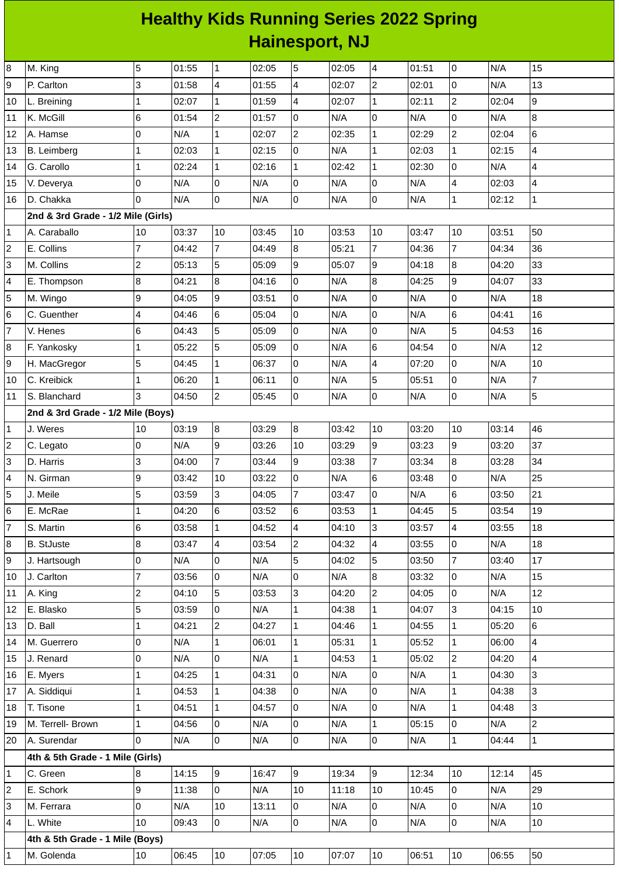## **Healthy Kids Running Series 2022 Spring Hainesport, NJ**

| 8                       | M. King                            | 5              | 01:55 | $\mathbf{1}$   | 02:05 | 5              | 02:05 | 4              | 01:51 | 0              | N/A   | 15                       |
|-------------------------|------------------------------------|----------------|-------|----------------|-------|----------------|-------|----------------|-------|----------------|-------|--------------------------|
| 9                       | P. Carlton                         | 3              | 01:58 | 4              | 01:55 | 4              | 02:07 | $\overline{c}$ | 02:01 | 0              | N/A   | 13                       |
| 10                      | L. Breining                        | $\mathbf{1}$   | 02:07 | $\mathbf{1}$   | 01:59 | 4              | 02:07 | $\mathbf{1}$   | 02:11 | $\overline{2}$ | 02:04 | $\overline{9}$           |
| 11                      | K. McGill                          | 6              | 01:54 | $\overline{c}$ | 01:57 | O              | N/A   | 0              | N/A   | 0              | N/A   | $\bf{8}$                 |
| 12                      | A. Hamse                           | 0              | N/A   | $\mathbf{1}$   | 02:07 | $\mathbf{2}$   | 02:35 | $\mathbf 1$    | 02:29 | $\overline{c}$ | 02:04 | $\,6$                    |
| 13                      | B. Leimberg                        | $\mathbf{1}$   | 02:03 | $\mathbf{1}$   | 02:15 | O              | N/A   | $\mathbf{1}$   | 02:03 | $\mathbf{1}$   | 02:15 | $\overline{4}$           |
| 14                      | G. Carollo                         | $\mathbf{1}$   | 02:24 | $\mathbf{1}$   | 02:16 | $\mathbf 1$    | 02:42 | $\mathbf 1$    | 02:30 | 0              | N/A   | $\overline{\mathcal{L}}$ |
| 15                      | V. Deverya                         | 0              | N/A   | 0              | N/A   | 0              | N/A   | $\overline{0}$ | N/A   | 4              | 02:03 | 4                        |
| 16                      | D. Chakka                          | 0              | N/A   | 0              | N/A   | O              | N/A   | $\overline{0}$ | N/A   | $\mathbf{1}$   | 02:12 | $\mathbf{1}$             |
|                         | 2nd & 3rd Grade - 1/2 Mile (Girls) |                |       |                |       |                |       |                |       |                |       |                          |
| $\mathbf 1$             | A. Caraballo                       | 10             | 03:37 | 10             | 03:45 | 10             | 03:53 | 10             | 03:47 | 10             | 03:51 | 50                       |
| $\overline{c}$          | E. Collins                         | $\overline{7}$ | 04:42 | $\overline{7}$ | 04:49 | $\overline{8}$ | 05:21 | $\overline{7}$ | 04:36 | $\overline{7}$ | 04:34 | 36                       |
| 3                       | M. Collins                         | $\overline{c}$ | 05:13 | 5              | 05:09 | 9              | 05:07 | 9              | 04:18 | $\overline{8}$ | 04:20 | 33                       |
| 4                       | E. Thompson                        | 8              | 04:21 | 8              | 04:16 | $\mathbf 0$    | N/A   | 8              | 04:25 | 9              | 04:07 | 33                       |
| 5                       | M. Wingo                           | 9              | 04:05 | 9              | 03:51 | l0             | N/A   | 0              | N/A   | 0              | N/A   | 18                       |
| 6                       | C. Guenther                        | 4              | 04:46 | 6              | 05:04 | 0              | N/A   | 0              | N/A   | 6              | 04:41 | 16                       |
| $\overline{7}$          | V. Henes                           | 6              | 04:43 | 5              | 05:09 | O              | N/A   | 0              | N/A   | 5              | 04:53 | 16                       |
| 8                       | F. Yankosky                        | $\mathbf{1}$   | 05:22 | 5              | 05:09 | $\overline{0}$ | N/A   | 6              | 04:54 | 0              | N/A   | 12                       |
| 9                       | H. MacGregor                       | 5              | 04:45 | $\mathbf{1}$   | 06:37 | 0              | N/A   | 4              | 07:20 | 0              | N/A   | 10                       |
| 10                      | C. Kreibick                        | $\mathbf{1}$   | 06:20 | $\mathbf{1}$   | 06:11 | O              | N/A   | 5              | 05:51 | 0              | N/A   | $\overline{7}$           |
| 11                      | S. Blanchard                       | 3              | 04:50 | $\overline{c}$ | 05:45 | $\overline{0}$ | N/A   | $\overline{0}$ | N/A   | 0              | N/A   | 5                        |
|                         | 2nd & 3rd Grade - 1/2 Mile (Boys)  |                |       |                |       |                |       |                |       |                |       |                          |
| 1                       | J. Weres                           | 10             | 03:19 | $8\,$          | 03:29 | 8              | 03:42 | 10             | 03:20 | 10             | 03:14 | 46                       |
| $\overline{\mathbf{c}}$ | C. Legato                          | 0              | N/A   | 9              | 03:26 | 10             | 03:29 | 9              | 03:23 | 9              | 03:20 | 37                       |
| 3                       | D. Harris                          | 3              | 04:00 | $\overline{7}$ | 03:44 | 9              | 03:38 | $\overline{7}$ | 03:34 | $\bf{8}$       | 03:28 | 34                       |
| 4                       | N. Girman                          | 9              | 03:42 | 10             | 03:22 | 0              | N/A   | 6              | 03:48 | 0              | N/A   | 25                       |
| 5                       | J. Meile                           | 5              | 03:59 | 3              | 04:05 | $\overline{7}$ | 03:47 | 0              | N/A   | 6              | 03:50 | 21                       |
| 6                       | E. McRae                           | $\mathbf 1$    | 04:20 | 6              | 03:52 | 6              | 03:53 | $\mathbf 1$    | 04:45 | 5              | 03:54 | 19                       |
| $\overline{7}$          | S. Martin                          | 6              | 03:58 | $\mathbf{1}$   | 04:52 | $\overline{4}$ | 04:10 | $\overline{3}$ | 03:57 | $\overline{4}$ | 03:55 | 18                       |
| 8                       | <b>B.</b> StJuste                  | 8              | 03:47 | 4              | 03:54 | $\overline{c}$ | 04:32 | $\overline{4}$ | 03:55 | 0              | N/A   | 18                       |
| 9                       | J. Hartsough                       | 0              | N/A   | 0              | N/A   | 5              | 04:02 | 5              | 03:50 | $\overline{7}$ | 03:40 | 17                       |
| 10                      | J. Carlton                         | $\overline{7}$ | 03:56 | 0              | N/A   | 0              | N/A   | 8              | 03:32 | 0              | N/A   | 15                       |
| 11                      | A. King                            | $\overline{c}$ | 04:10 | 5              | 03:53 | 3              | 04:20 | $\overline{c}$ | 04:05 | $\overline{0}$ | N/A   | 12                       |
| 12                      | E. Blasko                          | 5              | 03:59 | 0              | N/A   | $\mathbf 1$    | 04:38 | $\mathbf{1}$   | 04:07 | 3              | 04:15 | 10                       |
| 13                      | D. Ball                            | $\mathbf{1}$   | 04:21 | $\overline{c}$ | 04:27 | $\mathbf{1}$   | 04:46 | $\mathbf{1}$   | 04:55 | $\mathbf{1}$   | 05:20 | 6                        |
| 14                      | M. Guerrero                        | 0              | N/A   | $\mathbf{1}$   | 06:01 | $\mathbf 1$    | 05:31 | $\mathbf 1$    | 05:52 | $\mathbf{1}$   | 06:00 | $\overline{4}$           |
| 15                      | J. Renard                          | 0              | N/A   | 0              | N/A   | $\mathbf{1}$   | 04:53 | $\mathbf{1}$   | 05:02 | $\overline{c}$ | 04:20 | $\overline{4}$           |
| 16                      | E. Myers                           | $\mathbf{1}$   | 04:25 | $\mathbf{1}$   | 04:31 | 0              | N/A   | $\overline{0}$ | N/A   | $\mathbf{1}$   | 04:30 | $\overline{3}$           |
| 17                      | A. Siddiqui                        | $\mathbf{1}$   | 04:53 | $\mathbf{1}$   | 04:38 | l0             | N/A   | $\overline{0}$ | N/A   | $\mathbf{1}$   | 04:38 | $\mathsf{3}$             |
| 18                      | T. Tisone                          | $\mathbf 1$    | 04:51 | $\mathbf{1}$   | 04:57 | 0              | N/A   | $\overline{0}$ | N/A   | $\mathbf{1}$   | 04:48 | $\overline{3}$           |
| 19                      | M. Terrell- Brown                  | $\mathbf{1}$   | 04:56 | 0              | N/A   | 0              | N/A   | $\mathbf{1}$   | 05:15 | 0              | N/A   | $\overline{2}$           |
| 20                      | A. Surendar                        | 0              | N/A   | $\overline{0}$ | N/A   | $\overline{0}$ | N/A   | $\overline{0}$ | N/A   | $\mathbf{1}$   | 04:44 | $\mathbf{1}$             |
|                         | 4th & 5th Grade - 1 Mile (Girls)   |                |       |                |       |                |       |                |       |                |       |                          |
| 1                       | C. Green                           | 8              | 14:15 | 9              | 16:47 | 9              | 19:34 | 9              | 12:34 | 10             | 12:14 | 45                       |
| 2                       | E. Schork                          | 9              | 11:38 | $\mathsf{O}$   | N/A   | $10\,$         | 11:18 | 10             | 10:45 | 0              | N/A   | 29                       |
| 3                       | M. Ferrara                         | 0              | N/A   | 10             | 13:11 | 0              | N/A   | $\overline{0}$ | N/A   | 0              | N/A   | 10                       |
| 4                       | L. White                           | 10             | 09:43 | $\mathsf{O}$   | N/A   | l0             | N/A   | $\overline{0}$ | N/A   | 0              | N/A   | 10                       |
|                         | 4th & 5th Grade - 1 Mile (Boys)    |                |       |                |       |                |       |                |       |                |       |                          |
| 1                       | M. Golenda                         | $10\,$         | 06:45 | 10             | 07:05 | 10             | 07:07 | 10             | 06:51 | 10             | 06:55 | 50                       |